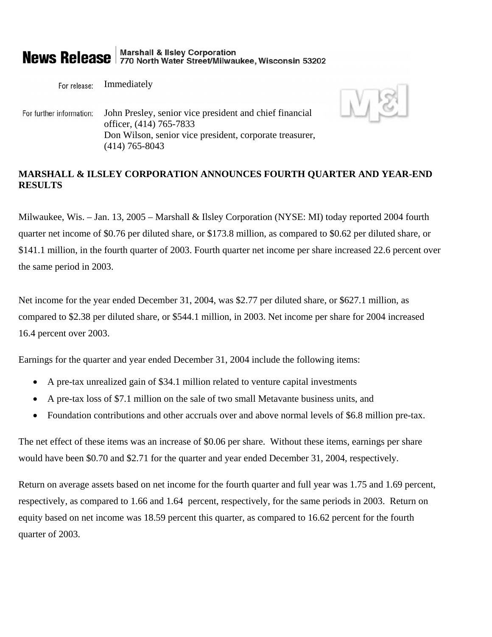# **News Release** 770 North Water Street/Milwaukee, Wisconsin 53202

Immediately For release:

John Presley, senior vice president and chief financial For further information: officer, (414) 765-7833 Don Wilson, senior vice president, corporate treasurer, (414) 765-8043

## **MARSHALL & ILSLEY CORPORATION ANNOUNCES FOURTH QUARTER AND YEAR-END RESULTS**

Milwaukee, Wis. – Jan. 13, 2005 – Marshall & Ilsley Corporation (NYSE: MI) today reported 2004 fourth quarter net income of \$0.76 per diluted share, or \$173.8 million, as compared to \$0.62 per diluted share, or \$141.1 million, in the fourth quarter of 2003. Fourth quarter net income per share increased 22.6 percent over the same period in 2003.

Net income for the year ended December 31, 2004, was \$2.77 per diluted share, or \$627.1 million, as compared to \$2.38 per diluted share, or \$544.1 million, in 2003. Net income per share for 2004 increased 16.4 percent over 2003.

Earnings for the quarter and year ended December 31, 2004 include the following items:

- A pre-tax unrealized gain of \$34.1 million related to venture capital investments
- A pre-tax loss of \$7.1 million on the sale of two small Metavante business units, and
- Foundation contributions and other accruals over and above normal levels of \$6.8 million pre-tax.

The net effect of these items was an increase of \$0.06 per share. Without these items, earnings per share would have been \$0.70 and \$2.71 for the quarter and year ended December 31, 2004, respectively.

Return on average assets based on net income for the fourth quarter and full year was 1.75 and 1.69 percent, respectively, as compared to 1.66 and 1.64 percent, respectively, for the same periods in 2003. Return on equity based on net income was 18.59 percent this quarter, as compared to 16.62 percent for the fourth quarter of 2003.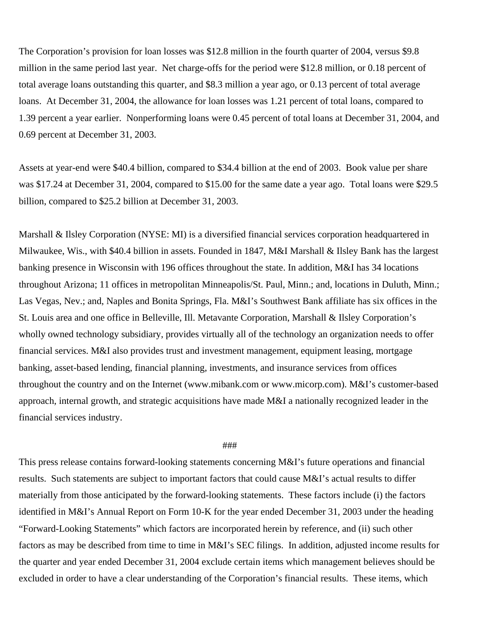The Corporation's provision for loan losses was \$12.8 million in the fourth quarter of 2004, versus \$9.8 million in the same period last year. Net charge-offs for the period were \$12.8 million, or 0.18 percent of total average loans outstanding this quarter, and \$8.3 million a year ago, or 0.13 percent of total average loans. At December 31, 2004, the allowance for loan losses was 1.21 percent of total loans, compared to 1.39 percent a year earlier. Nonperforming loans were 0.45 percent of total loans at December 31, 2004, and 0.69 percent at December 31, 2003.

Assets at year-end were \$40.4 billion, compared to \$34.4 billion at the end of 2003. Book value per share was \$17.24 at December 31, 2004, compared to \$15.00 for the same date a year ago. Total loans were \$29.5 billion, compared to \$25.2 billion at December 31, 2003.

Marshall & Ilsley Corporation (NYSE: MI) is a diversified financial services corporation headquartered in Milwaukee, Wis., with \$40.4 billion in assets. Founded in 1847, M&I Marshall & Ilsley Bank has the largest banking presence in Wisconsin with 196 offices throughout the state. In addition, M&I has 34 locations throughout Arizona; 11 offices in metropolitan Minneapolis/St. Paul, Minn.; and, locations in Duluth, Minn.; Las Vegas, Nev.; and, Naples and Bonita Springs, Fla. M&I's Southwest Bank affiliate has six offices in the St. Louis area and one office in Belleville, Ill. Metavante Corporation, Marshall & Ilsley Corporation's wholly owned technology subsidiary, provides virtually all of the technology an organization needs to offer financial services. M&I also provides trust and investment management, equipment leasing, mortgage banking, asset-based lending, financial planning, investments, and insurance services from offices throughout the country and on the Internet (www.mibank.com or www.micorp.com). M&I's customer-based approach, internal growth, and strategic acquisitions have made M&I a nationally recognized leader in the financial services industry.

## ###

This press release contains forward-looking statements concerning M&I's future operations and financial results. Such statements are subject to important factors that could cause M&I's actual results to differ materially from those anticipated by the forward-looking statements. These factors include (i) the factors identified in M&I's Annual Report on Form 10-K for the year ended December 31, 2003 under the heading "Forward-Looking Statements" which factors are incorporated herein by reference, and (ii) such other factors as may be described from time to time in M&I's SEC filings. In addition, adjusted income results for the quarter and year ended December 31, 2004 exclude certain items which management believes should be excluded in order to have a clear understanding of the Corporation's financial results. These items, which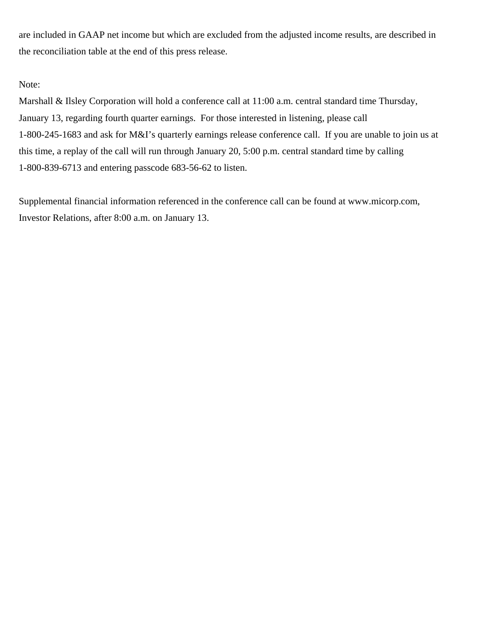are included in GAAP net income but which are excluded from the adjusted income results, are described in the reconciliation table at the end of this press release.

Note:

Marshall & Ilsley Corporation will hold a conference call at 11:00 a.m. central standard time Thursday, January 13, regarding fourth quarter earnings. For those interested in listening, please call 1-800-245-1683 and ask for M&I's quarterly earnings release conference call. If you are unable to join us at this time, a replay of the call will run through January 20, 5:00 p.m. central standard time by calling 1-800-839-6713 and entering passcode 683-56-62 to listen.

Supplemental financial information referenced in the conference call can be found at www.micorp.com, Investor Relations, after 8:00 a.m. on January 13.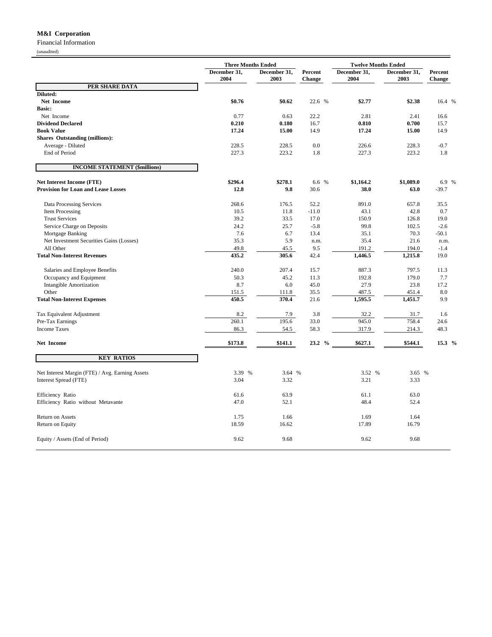## **M&I Corporation**

Financial Information

(unaudited)

|                                                 | <b>Three Months Ended</b> |                      |                          | <b>Twelve Months Ended</b> |                      |                          |
|-------------------------------------------------|---------------------------|----------------------|--------------------------|----------------------------|----------------------|--------------------------|
|                                                 | December 31,<br>2004      | December 31,<br>2003 | Percent<br><b>Change</b> | December 31,<br>2004       | December 31,<br>2003 | Percent<br><b>Change</b> |
| PER SHARE DATA                                  |                           |                      |                          |                            |                      |                          |
| Diluted:                                        |                           |                      |                          |                            |                      |                          |
| Net Income                                      | \$0.76                    | \$0.62               | 22.6 %                   | \$2.77                     | \$2.38               | 16.4 %                   |
| <b>Basic:</b>                                   |                           |                      |                          |                            |                      |                          |
| Net Income                                      | 0.77                      | 0.63                 | 22.2                     | 2.81                       | 2.41                 | 16.6                     |
| <b>Dividend Declared</b>                        | 0.210                     | 0.180                | 16.7                     | 0.810                      | 0.700                | 15.7                     |
| <b>Book Value</b>                               | 17.24                     | 15.00                | 14.9                     | 17.24                      | 15.00                | 14.9                     |
| <b>Shares Outstanding (millions):</b>           |                           |                      |                          |                            |                      |                          |
| Average - Diluted                               | 228.5                     | 228.5                | 0.0                      | 226.6                      | 228.3                | $-0.7$                   |
| End of Period                                   | 227.3                     | 223.2                | 1.8                      | 227.3                      | 223.2                | 1.8                      |
| <b>INCOME STATEMENT (\$millions)</b>            |                           |                      |                          |                            |                      |                          |
| <b>Net Interest Income (FTE)</b>                | \$296.4                   | \$278.1              | 6.6 %                    | \$1,164.2                  | \$1,089.0            | 6.9 %                    |
| <b>Provision for Loan and Lease Losses</b>      | 12.8                      | 9.8                  | 30.6                     | 38.0                       | 63.0                 | $-39.7$                  |
| Data Processing Services                        | 268.6                     | 176.5                | 52.2                     | 891.0                      | 657.8                | 35.5                     |
| Item Processing                                 | 10.5                      | 11.8                 | $-11.0$                  | 43.1                       | 42.8                 | 0.7                      |
| <b>Trust Services</b>                           | 39.2                      | 33.5                 | 17.0                     | 150.9                      | 126.8                | 19.0                     |
| Service Charge on Deposits                      | 24.2                      | 25.7                 | $-5.8$                   | 99.8                       | 102.5                | $-2.6$                   |
| Mortgage Banking                                | 7.6                       | 6.7                  | 13.4                     | 35.1                       | 70.3                 | $-50.1$                  |
| Net Investment Securities Gains (Losses)        | 35.3                      | 5.9                  | n.m.                     | 35.4                       | 21.6                 | n.m.                     |
| All Other                                       | 49.8                      | 45.5                 | 9.5                      | 191.2                      | 194.0                | $-1.4$                   |
| <b>Total Non-Interest Revenues</b>              | 435.2                     | 305.6                | 42.4                     | 1,446.5                    | 1,215.8              | 19.0                     |
| Salaries and Employee Benefits                  | 240.0                     | 207.4                | 15.7                     | 887.3                      | 797.5                | 11.3                     |
| Occupancy and Equipment                         | 50.3                      | 45.2                 | 11.3                     | 192.8                      | 179.0                | 7.7                      |
| <b>Intangible Amortization</b>                  | 8.7                       | 6.0                  | 45.0                     | 27.9                       | 23.8                 | 17.2                     |
| Other                                           | 151.5                     | 111.8                | 35.5                     | 487.5                      | 451.4                | 8.0                      |
| <b>Total Non-Interest Expenses</b>              | 450.5                     | 370.4                | 21.6                     | 1,595.5                    | 1,451.7              | 9.9                      |
| Tax Equivalent Adjustment                       | 8.2                       | 7.9                  | 3.8                      | 32.2                       | 31.7                 | 1.6                      |
| Pre-Tax Earnings                                | 260.1                     | 195.6                | 33.0                     | 945.0                      | 758.4                | 24.6                     |
| <b>Income Taxes</b>                             | 86.3                      | 54.5                 | 58.3                     | 317.9                      | 214.3                | 48.3                     |
| Net Income                                      | \$173.8                   | \$141.1              | 23.2 %                   | \$627.1                    | \$544.1              | 15.3 %                   |
| <b>KEY RATIOS</b>                               |                           |                      |                          |                            |                      |                          |
| Net Interest Margin (FTE) / Avg. Earning Assets | 3.39 %                    | 3.64 %               |                          | 3.52 %                     | 3.65 %               |                          |
| Interest Spread (FTE)                           | 3.04                      | 3.32                 |                          | 3.21                       | 3.33                 |                          |
|                                                 |                           |                      |                          |                            |                      |                          |
| Efficiency Ratio                                | 61.6                      | 63.9                 |                          | 61.1                       | 63.0                 |                          |
| Efficiency Ratio without Metavante              | 47.0                      | 52.1                 |                          | 48.4                       | 52.4                 |                          |
| Return on Assets                                | 1.75                      | 1.66                 |                          | 1.69                       | 1.64                 |                          |
| Return on Equity                                | 18.59                     | 16.62                |                          | 17.89                      | 16.79                |                          |
| Equity / Assets (End of Period)                 | 9.62                      | 9.68                 |                          | 9.62                       | 9.68                 |                          |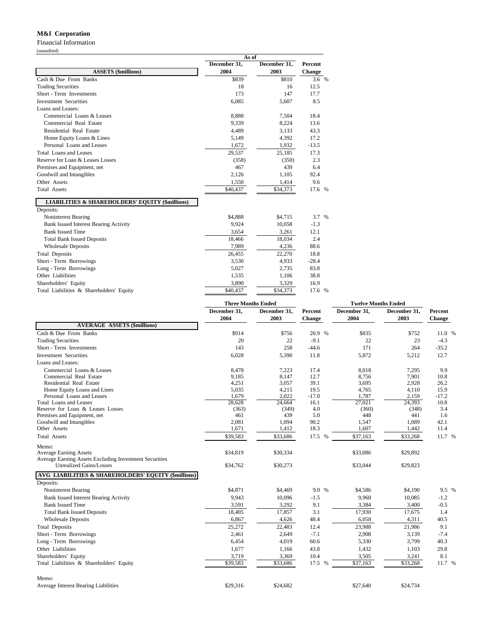### **M&I Corporation**

Financial Information

|                                                            | As of        |              |         |  |
|------------------------------------------------------------|--------------|--------------|---------|--|
|                                                            | December 31, | December 31, | Percent |  |
| <b>ASSETS (\$millions)</b>                                 | 2004         | 2003         | Change  |  |
| Cash & Due From Banks                                      | \$839        | \$810        | 3.6 %   |  |
| <b>Trading Securities</b>                                  | 18           | 16           | 12.5    |  |
| Short - Term Investments                                   | 173          | 147          | 17.7    |  |
| <b>Investment Securities</b>                               | 6,085        | 5,607        | 8.5     |  |
| Loans and Leases:                                          |              |              |         |  |
| Commercial Loans & Leases                                  | 8,888        | 7,504        | 18.4    |  |
| Commercial Real Estate                                     | 9,339        | 8,224        | 13.6    |  |
| Residential Real Estate                                    | 4,489        | 3,133        | 43.3    |  |
| Home Equity Loans & Lines                                  | 5,149        | 4,392        | 17.2    |  |
| Personal Loans and Leases                                  | 1,672        | 1,932        | $-13.5$ |  |
| Total Loans and Leases                                     | 29,537       | 25,185       | 17.3    |  |
| Reserve for Loan & Leases Losses                           | (358)        | (350)        | 2.3     |  |
| Premises and Equipment, net                                | 467          | 439          | 6.4     |  |
| Goodwill and Intangibles                                   | 2,126        | 1,105        | 92.4    |  |
| Other Assets                                               | 1,550        | 1,414        | 9.6     |  |
| <b>Total Assets</b>                                        | \$40,437     | \$34,373     | 17.6 %  |  |
| <b>LIABILITIES &amp; SHAREHOLDERS' EQUITY (\$millions)</b> |              |              |         |  |
| Deposits:                                                  |              |              |         |  |
| <b>Noninterest Bearing</b>                                 | \$4,888      | \$4,715      | 3.7 %   |  |
| <b>Bank Issued Interest Bearing Activity</b>               | 9,924        | 10,058       | $-1.3$  |  |
| <b>Bank Issued Time</b>                                    | 3,654        | 3,261        | 12.1    |  |
| <b>Total Bank Issued Deposits</b>                          | 18,466       | 18,034       | 2.4     |  |
| <b>Wholesale Deposits</b>                                  | 7,989        | 4,236        | 88.6    |  |
| <b>Total Deposits</b>                                      | 26,455       | 22,270       | 18.8    |  |
| Short - Term Borrowings                                    | 3,530        | 4,933        | $-28.4$ |  |
| Long - Term Borrowings                                     | 5,027        | 2,735        | 83.8    |  |
| Other Liabilities                                          | 1,535        | 1,106        | 38.8    |  |
| Shareholders' Equity                                       | 3,890        | 3,329        | 16.9    |  |
| Total Liabilities & Shareholders' Equity                   | \$40,437     | \$34,373     | 17.6 %  |  |

|                                                        | <b>Three Months Ended</b> |                      |                          | <b>Twelve Months Ended</b> |                      |                          |
|--------------------------------------------------------|---------------------------|----------------------|--------------------------|----------------------------|----------------------|--------------------------|
|                                                        | December 31.<br>2004      | December 31,<br>2003 | Percent<br><b>Change</b> | December 31.<br>2004       | December 31.<br>2003 | Percent<br><b>Change</b> |
| <b>AVERAGE ASSETS (\$millions)</b>                     |                           |                      |                          |                            |                      |                          |
| Cash & Due From Banks                                  | \$914                     | \$756                | 20.9 %                   | \$835                      | \$752                | 11.0 %                   |
| <b>Trading Securities</b>                              | 20                        | 22                   | $-9.1$                   | 22                         | 23                   | $-4.3$                   |
| Short - Term Investments                               | 143                       | 258                  | $-44.6$                  | 171                        | 264                  | $-35.2$                  |
| <b>Investment Securities</b>                           | 6,028                     | 5,390                | 11.8                     | 5,872                      | 5,212                | 12.7                     |
| Loans and Leases:                                      |                           |                      |                          |                            |                      |                          |
| Commercial Loans & Leases                              | 8,478                     | 7,223                | 17.4                     | 8,018                      | 7,295                | 9.9                      |
| Commercial Real Estate                                 | 9,185                     | 8,147                | 12.7                     | 8,756                      | 7,901                | 10.8                     |
| Residential Real Estate                                | 4,251                     | 3,057                | 39.1                     | 3,695                      | 2,928                | 26.2                     |
| Home Equity Loans and Lines                            | 5,035                     | 4,215                | 19.5                     | 4,765                      | 4,110                | 15.9                     |
| Personal Loans and Leases                              | 1,679                     | 2,022                | $-17.0$                  | 1,787                      | 2,159                | $-17.2$                  |
| <b>Total Loans and Leases</b>                          | 28,628                    | 24,664               | 16.1                     | 27,021                     | 24,393               | 10.8                     |
| Reserve for Loan & Leases Losses                       | (363)                     | (349)                | 4.0                      | (360)                      | (348)                | 3.4                      |
| Premises and Equipment, net                            | 461                       | 439                  | 5.0                      | 448                        | 441                  | 1.6                      |
| Goodwill and Intangibles                               | 2,081                     | 1,094                | 90.2                     | 1,547                      | 1,089                | 42.1                     |
| Other Assets                                           | 1,671                     | 1,412                | 18.3                     | 1,607                      | 1,442                | 11.4                     |
| <b>Total Assets</b>                                    | \$39,583                  | \$33,686             | 17.5 %                   | \$37,163                   | \$33,268             | 11.7 %                   |
| Memo:                                                  |                           |                      |                          |                            |                      |                          |
| <b>Average Earning Assets</b>                          | \$34,819                  | \$30,334             |                          | \$33,086                   | \$29,892             |                          |
| Average Earning Assets Excluding Investment Securities |                           |                      |                          |                            |                      |                          |
| <b>Unrealized Gains/Losses</b>                         | \$34,762                  | \$30,273             |                          | \$33,044                   | \$29,823             |                          |
| AVG LIABILITIES & SHAREHOLDERS' EQUITY (\$millions)    |                           |                      |                          |                            |                      |                          |
| Deposits:                                              |                           |                      |                          |                            |                      |                          |
| Noninterest Bearing                                    | \$4,871                   | \$4,469              | 9.0 %                    | \$4,586                    | \$4,190              | 9.5 %                    |
| Bank Issued Interest Bearing Activity                  | 9,943                     | 10,096               | $-1.5$                   | 9,960                      | 10,085               | $-1.2$                   |
| <b>Bank Issued Time</b>                                | 3,591                     | 3,292                | 9.1                      | 3,384                      | 3,400                | $-0.5$                   |
| <b>Total Bank Issued Deposits</b>                      | 18,405                    | 17,857               | 3.1                      | 17,930                     | 17,675               | 1.4                      |
| <b>Wholesale Deposits</b>                              | 6,867                     | 4,626                | 48.4                     | 6,058                      | 4,311                | 40.5                     |
| <b>Total Deposits</b>                                  | 25,272                    | 22,483               | 12.4                     | 23,988                     | 21,986               | 9.1                      |
| Short - Term Borrowings                                | 2,461                     | 2,649                | $-7.1$                   | 2,908                      | 3,139                | $-7.4$                   |
| Long - Term Borrowings                                 | 6,454                     | 4,019                | 60.6                     | 5,330                      | 3,799                | 40.3                     |
| Other Liabilities                                      | 1,677                     | 1,166                | 43.8                     | 1,432                      | 1,103                | 29.8                     |
| Shareholders' Equity                                   | 3,719                     | 3,369                | 10.4                     | 3,505                      | 3,241                | 8.1                      |
| Total Liabilities & Shareholders' Equity               | \$39,583                  | \$33,686             | 17.5 %                   | \$37,163                   | \$33,268             | 11.7 %                   |
|                                                        |                           |                      |                          |                            |                      |                          |
| Memo:                                                  |                           |                      |                          |                            |                      |                          |
| <b>Average Interest Bearing Liabilities</b>            | \$29,316                  | \$24,682             |                          | \$27,640                   | \$24,734             |                          |